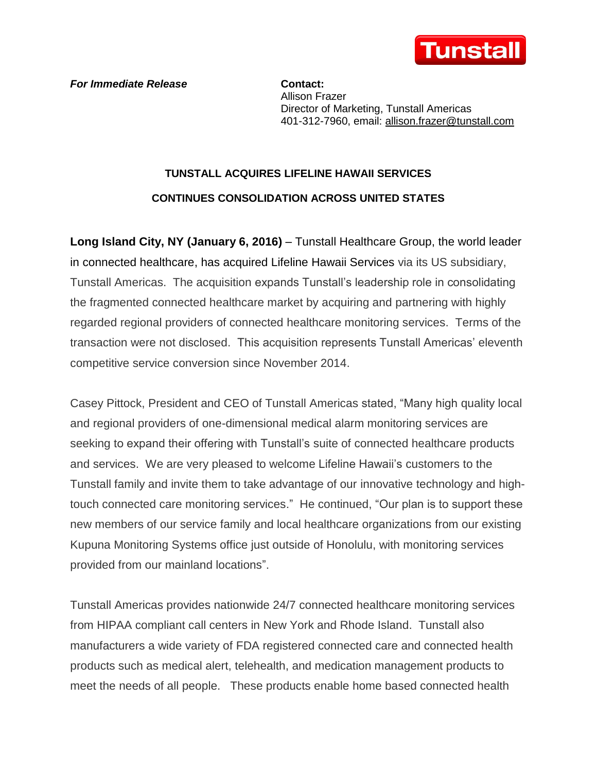

*For Immediate Release* **Contact:** 

Allison Frazer Director of Marketing, Tunstall Americas 401-312-7960, email: [allison.frazer@tunstall.com](mailto:allison.frazer@tunstall.com)

## **TUNSTALL ACQUIRES LIFELINE HAWAII SERVICES CONTINUES CONSOLIDATION ACROSS UNITED STATES**

**Long Island City, NY (January 6, 2016)** – Tunstall Healthcare Group, the world leader in connected healthcare, has acquired Lifeline Hawaii Services via its US subsidiary, Tunstall Americas. The acquisition expands Tunstall's leadership role in consolidating the fragmented connected healthcare market by acquiring and partnering with highly regarded regional providers of connected healthcare monitoring services. Terms of the transaction were not disclosed. This acquisition represents Tunstall Americas' eleventh competitive service conversion since November 2014.

Casey Pittock, President and CEO of Tunstall Americas stated, "Many high quality local and regional providers of one-dimensional medical alarm monitoring services are seeking to expand their offering with Tunstall's suite of connected healthcare products and services. We are very pleased to welcome Lifeline Hawaii's customers to the Tunstall family and invite them to take advantage of our innovative technology and hightouch connected care monitoring services." He continued, "Our plan is to support these new members of our service family and local healthcare organizations from our existing Kupuna Monitoring Systems office just outside of Honolulu, with monitoring services provided from our mainland locations".

Tunstall Americas provides nationwide 24/7 connected healthcare monitoring services from HIPAA compliant call centers in New York and Rhode Island. Tunstall also manufacturers a wide variety of FDA registered connected care and connected health products such as medical alert, telehealth, and medication management products to meet the needs of all people. These products enable home based connected health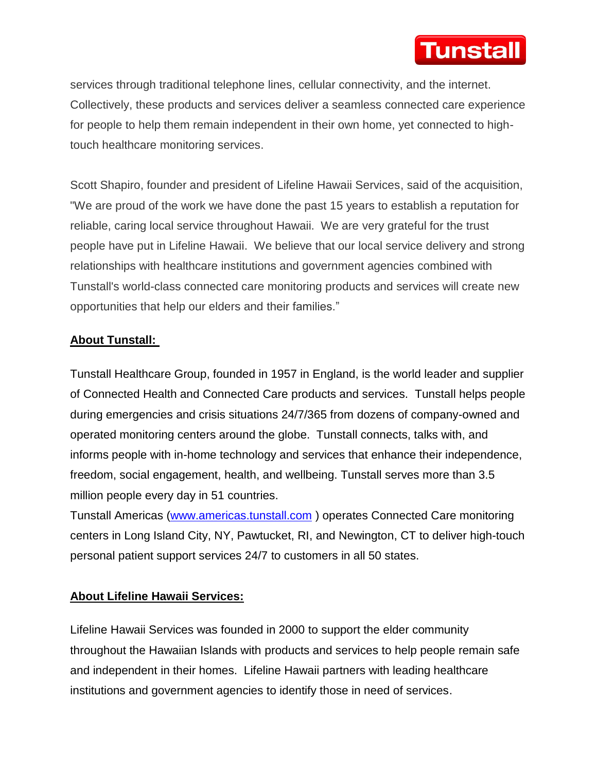

services through traditional telephone lines, cellular connectivity, and the internet. Collectively, these products and services deliver a seamless connected care experience for people to help them remain independent in their own home, yet connected to hightouch healthcare monitoring services.

Scott Shapiro, founder and president of Lifeline Hawaii Services, said of the acquisition, "We are proud of the work we have done the past 15 years to establish a reputation for reliable, caring local service throughout Hawaii. We are very grateful for the trust people have put in Lifeline Hawaii. We believe that our local service delivery and strong relationships with healthcare institutions and government agencies combined with Tunstall's world-class connected care monitoring products and services will create new opportunities that help our elders and their families."

## **About Tunstall:**

Tunstall Healthcare Group, founded in 1957 in England, is the world leader and supplier of Connected Health and Connected Care products and services. Tunstall helps people during emergencies and crisis situations 24/7/365 from dozens of company-owned and operated monitoring centers around the globe. Tunstall connects, talks with, and informs people with in-home technology and services that enhance their independence, freedom, social engagement, health, and wellbeing. Tunstall serves more than 3.5 million people every day in 51 countries.

Tunstall Americas [\(www.americas.tunstall.com](http://www.americas.tunstall.com/) ) operates Connected Care monitoring centers in Long Island City, NY, Pawtucket, RI, and Newington, CT to deliver high-touch personal patient support services 24/7 to customers in all 50 states.

## **About Lifeline Hawaii Services:**

Lifeline Hawaii Services was founded in 2000 to support the elder community throughout the Hawaiian Islands with products and services to help people remain safe and independent in their homes. Lifeline Hawaii partners with leading healthcare institutions and government agencies to identify those in need of services.